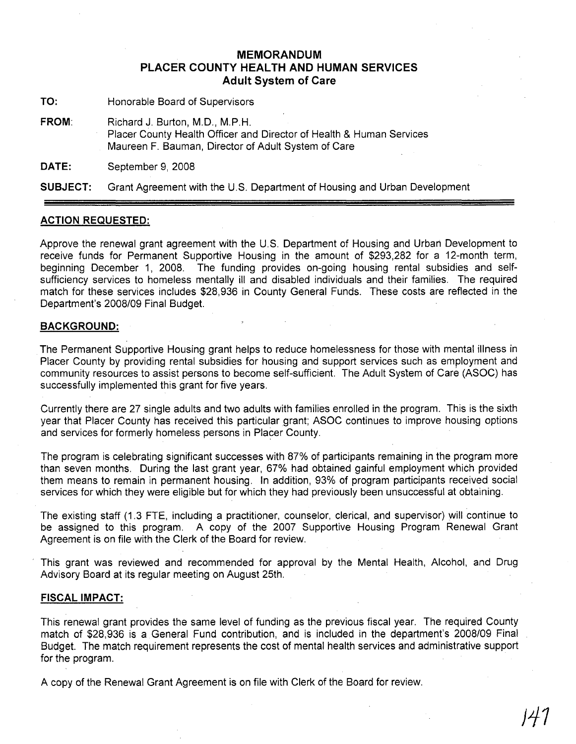## **MEMORANDUM PLACER COUNTY HEALTH AND HUMAN SERVICES Adult System of Care**

**TO:** Honorable Board of Supervisors

**FROM:** Richard J. Burton, M.D., M.P.H. Placer County Health Officer and Director of Health & Human Services Maureen F. Bauman, Director of Adult System of Care

**DATE:** September 9,2008

**SUBJECT:** Grant Agreement with the U.S. Department of Housing and Urban Development

## **ACTION REQUESTED:**

Approve the renewal grant agreement with the U.S. Department of Housing and Urban Development to receive funds for Permanent Supportive Housing in the amount of \$293,282 for a 12-month term, beginning December 1, 2008. The funding provides on-going housing rental subsidies and selfsufficiency services to homeless mentally ill and disabled individuals and their families. The required match for these services includes \$28,936 in County General Funds. These costs are reflected in the Department's 2008/09 Final Budget.

## **BACKGROUND:**

The Permanent Supportive Housing grant helps to reduce homelessness for those with mental illness in Placer County by providing rental subsidies for housing and support services such as employment and community resources to assist persons to become self-sufficient. The Adult System of Care (ASOC) has successfully implemented this grant for five years.

Currently there are 27 single adults and two adults with families enrolled in the program. This is the sixth year that Placer County has received this particular grant; ASOC continues to improve housing options and services for formerly homeless persons in Placer County.

The program is celebrating significant successes with 87% of participants remaining in the program more than seven months. During the last grant year, 67% had obtained gainful employment which provided them means to remain in permanent housing. In addition, 93% of program participants received social services for which they were eligible but for which they had previously been unsuccessful at obtaining.

The existing staff (1.3 FTE, including a practitioner, counselor, clerical, and supervisor) will continue to be assigned to this program. A copy of the 2007 Supportive Housing Program Renewal Grant Agreement is on file with the Clerk of the Board for review.

This grant was reviewed and recommended for approval by the Mental Health, Alcohol, and Drug Advisory Board at its regular meeting on August 25th.

## **FISCAL IMPACT:**

This renewal grant provides the same level of funding as the previous fiscal year. The required County match of \$28,936 is a General Fund contribution, and is included in the department's 2008/09 Final BUdget. The match requirement represents the cost of mental health services and administrative support for the program.

A copy of the Renewal Grant Agreement is on file with Clerk of the Board for review.